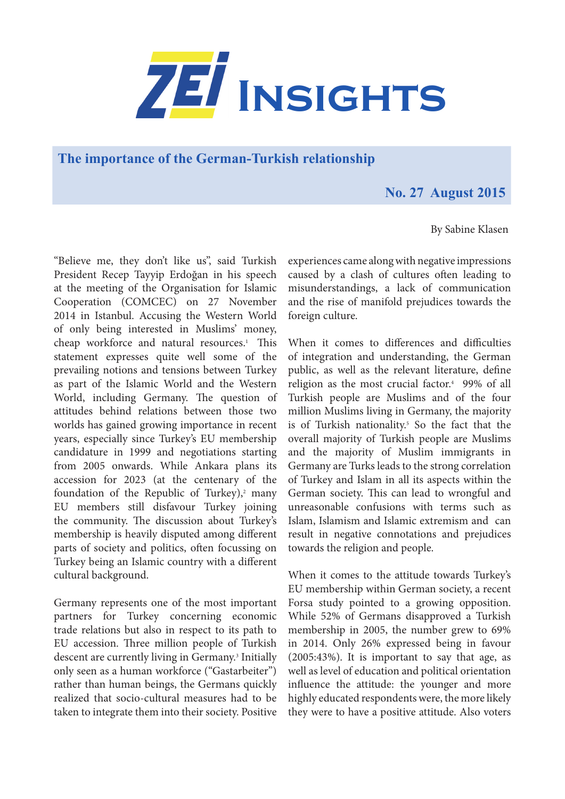

**The importance of the German-Turkish relationship** 

## **No. 27 August 2015**

By Sabine Klasen

"Believe me, they don't like us", said Turkish President Recep Tayyip Erdoğan in his speech at the meeting of the Organisation for Islamic Cooperation (COMCEC) on 27 November 2014 in Istanbul. Accusing the Western World of only being interested in Muslims' money, cheap workforce and natural resources.<sup>1</sup> This statement expresses quite well some of the prevailing notions and tensions between Turkey as part of the Islamic World and the Western World, including Germany. The question of attitudes behind relations between those two worlds has gained growing importance in recent years, especially since Turkey's EU membership candidature in 1999 and negotiations starting from 2005 onwards. While Ankara plans its accession for 2023 (at the centenary of the foundation of the Republic of Turkey), $2$  many EU members still disfavour Turkey joining the community. The discussion about Turkey's membership is heavily disputed among different parts of society and politics, often focussing on Turkey being an Islamic country with a different cultural background.

Germany represents one of the most important partners for Turkey concerning economic trade relations but also in respect to its path to EU accession. Three million people of Turkish descent are currently living in Germany.<sup>3</sup> Initially only seen as a human workforce ("Gastarbeiter") rather than human beings, the Germans quickly realized that socio-cultural measures had to be taken to integrate them into their society. Positive

experiences came along with negative impressions caused by a clash of cultures often leading to misunderstandings, a lack of communication and the rise of manifold prejudices towards the foreign culture.

When it comes to differences and difficulties of integration and understanding, the German public, as well as the relevant literature, define religion as the most crucial factor.4 99% of all Turkish people are Muslims and of the four million Muslims living in Germany, the majority is of Turkish nationality.<sup>5</sup> So the fact that the overall majority of Turkish people are Muslims and the majority of Muslim immigrants in Germany are Turks leads to the strong correlation of Turkey and Islam in all its aspects within the German society. This can lead to wrongful and unreasonable confusions with terms such as Islam, Islamism and Islamic extremism and can result in negative connotations and prejudices towards the religion and people.

When it comes to the attitude towards Turkey's EU membership within German society, a recent Forsa study pointed to a growing opposition. While 52% of Germans disapproved a Turkish membership in 2005, the number grew to 69% in 2014. Only 26% expressed being in favour (2005:43%). It is important to say that age, as well as level of education and political orientation influence the attitude: the younger and more highly educated respondents were, the more likely they were to have a positive attitude. Also voters